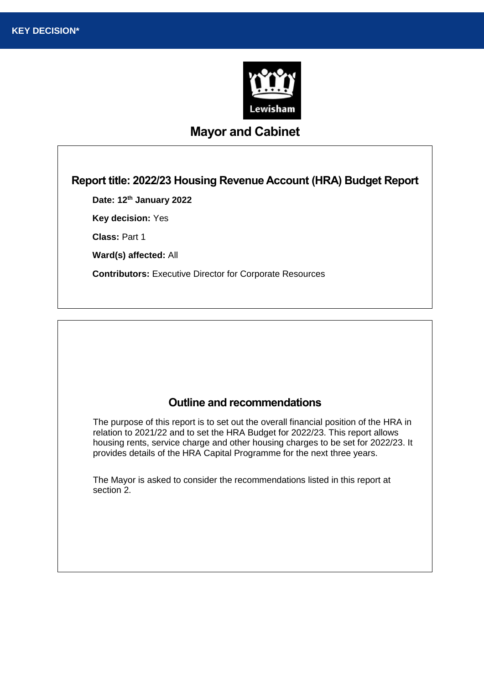

# **Mayor and Cabinet**

## **Report title: 2022/23 Housing Revenue Account (HRA) Budget Report**

**Date: 12th January 2022**

**Key decision:** Yes

**Class:** Part 1

**Ward(s) affected:** All

**Contributors:** Executive Director for Corporate Resources

## **Outline and recommendations**

The purpose of this report is to set out the overall financial position of the HRA in relation to 2021/22 and to set the HRA Budget for 2022/23. This report allows housing rents, service charge and other housing charges to be set for 2022/23. It provides details of the HRA Capital Programme for the next three years.

The Mayor is asked to consider the recommendations listed in this report at section 2.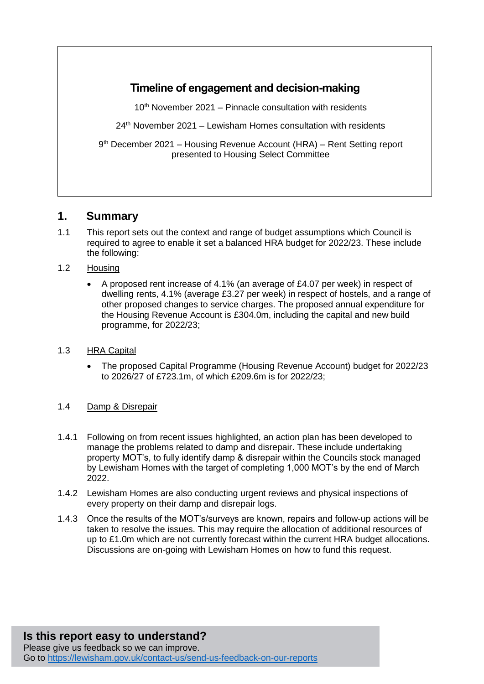# **Timeline of engagement and decision-making**

 $10<sup>th</sup>$  November 2021 – Pinnacle consultation with residents

 $24<sup>th</sup>$  November 2021 – Lewisham Homes consultation with residents

9<sup>th</sup> December 2021 – Housing Revenue Account (HRA) – Rent Setting report presented to Housing Select Committee

## **1. Summary**

- 1.1 This report sets out the context and range of budget assumptions which Council is required to agree to enable it set a balanced HRA budget for 2022/23. These include the following:
- 1.2 Housing
	- A proposed rent increase of 4.1% (an average of £4.07 per week) in respect of dwelling rents, 4.1% (average £3.27 per week) in respect of hostels, and a range of other proposed changes to service charges. The proposed annual expenditure for the Housing Revenue Account is £304.0m, including the capital and new build programme, for 2022/23;
- 1.3 HRA Capital
	- The proposed Capital Programme (Housing Revenue Account) budget for 2022/23 to 2026/27 of £723.1m, of which £209.6m is for 2022/23;
- 1.4 Damp & Disrepair
- 1.4.1 Following on from recent issues highlighted, an action plan has been developed to manage the problems related to damp and disrepair. These include undertaking property MOT's, to fully identify damp & disrepair within the Councils stock managed by Lewisham Homes with the target of completing 1,000 MOT's by the end of March 2022.
- 1.4.2 Lewisham Homes are also conducting urgent reviews and physical inspections of every property on their damp and disrepair logs.
- 1.4.3 Once the results of the MOT's/surveys are known, repairs and follow-up actions will be taken to resolve the issues. This may require the allocation of additional resources of up to £1.0m which are not currently forecast within the current HRA budget allocations. Discussions are on-going with Lewisham Homes on how to fund this request.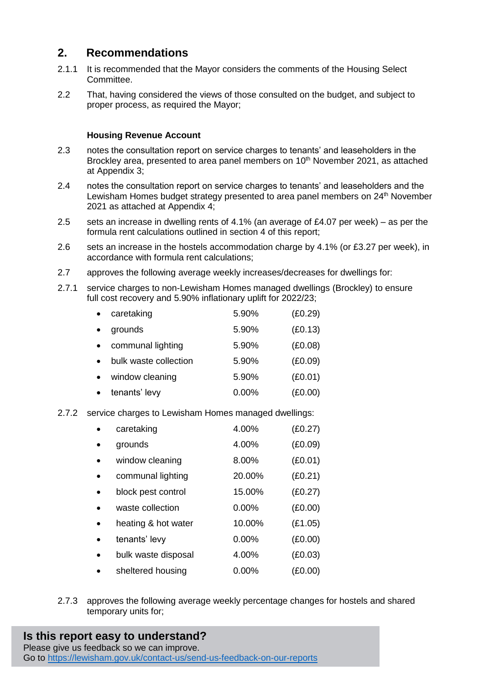# **2. Recommendations**

- 2.1.1 It is recommended that the Mayor considers the comments of the Housing Select Committee.
- 2.2 That, having considered the views of those consulted on the budget, and subject to proper process, as required the Mayor;

### **Housing Revenue Account**

- 2.3 notes the consultation report on service charges to tenants' and leaseholders in the Brockley area, presented to area panel members on 10<sup>th</sup> November 2021, as attached at Appendix 3;
- 2.4 notes the consultation report on service charges to tenants' and leaseholders and the Lewisham Homes budget strategy presented to area panel members on 24<sup>th</sup> November 2021 as attached at Appendix 4;
- 2.5 sets an increase in dwelling rents of 4.1% (an average of £4.07 per week) as per the formula rent calculations outlined in section 4 of this report;
- 2.6 sets an increase in the hostels accommodation charge by 4.1% (or £3.27 per week), in accordance with formula rent calculations;
- 2.7 approves the following average weekly increases/decreases for dwellings for:
- 2.7.1 service charges to non-Lewisham Homes managed dwellings (Brockley) to ensure full cost recovery and 5.90% inflationary uplift for 2022/23;

| $\bullet$ | caretaking            | 5.90% | (E0.29) |
|-----------|-----------------------|-------|---------|
| $\bullet$ | grounds               | 5.90% | (E0.13) |
| $\bullet$ | communal lighting     | 5.90% | (E0.08) |
| $\bullet$ | bulk waste collection | 5.90% | (E0.09) |
| $\bullet$ | window cleaning       | 5.90% | (E0.01) |
| $\bullet$ | tenants' levy         | 0.00% | (E0.00) |
|           |                       |       |         |

2.7.2 service charges to Lewisham Homes managed dwellings:

|           | caretaking          | 4.00%    | (E0.27) |
|-----------|---------------------|----------|---------|
| $\bullet$ | grounds             | 4.00%    | (E0.09) |
| $\bullet$ | window cleaning     | 8.00%    | (E0.01) |
| $\bullet$ | communal lighting   | 20.00%   | (E0.21) |
| $\bullet$ | block pest control  | 15.00%   | (E0.27) |
|           | waste collection    | 0.00%    | (E0.00) |
| $\bullet$ | heating & hot water | 10.00%   | (E1.05) |
| $\bullet$ | tenants' levy       | $0.00\%$ | (E0.00) |
| $\bullet$ | bulk waste disposal | 4.00%    | (E0.03) |
|           | sheltered housing   | $0.00\%$ | (£0.00) |

2.7.3 approves the following average weekly percentage changes for hostels and shared temporary units for;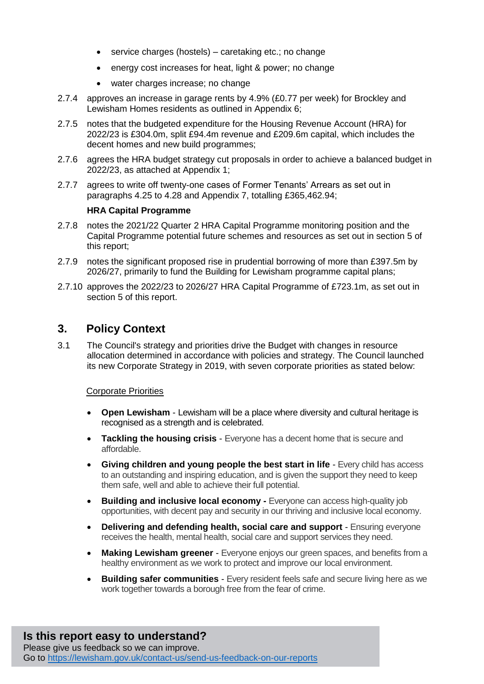- service charges (hostels) caretaking etc.; no change
- energy cost increases for heat, light & power; no change
- water charges increase; no change
- 2.7.4 approves an increase in garage rents by 4.9% (£0.77 per week) for Brockley and Lewisham Homes residents as outlined in Appendix 6;
- 2.7.5 notes that the budgeted expenditure for the Housing Revenue Account (HRA) for 2022/23 is £304.0m, split £94.4m revenue and £209.6m capital, which includes the decent homes and new build programmes;
- 2.7.6 agrees the HRA budget strategy cut proposals in order to achieve a balanced budget in 2022/23, as attached at Appendix 1;
- 2.7.7 agrees to write off twenty-one cases of Former Tenants' Arrears as set out in paragraphs 4.25 to 4.28 and Appendix 7, totalling £365,462.94;

## **HRA Capital Programme**

- 2.7.8 notes the 2021/22 Quarter 2 HRA Capital Programme monitoring position and the Capital Programme potential future schemes and resources as set out in section 5 of this report;
- 2.7.9 notes the significant proposed rise in prudential borrowing of more than £397.5m by 2026/27, primarily to fund the Building for Lewisham programme capital plans;
- 2.7.10 approves the 2022/23 to 2026/27 HRA Capital Programme of £723.1m, as set out in section 5 of this report.

## **3. Policy Context**

3.1 The Council's strategy and priorities drive the Budget with changes in resource allocation determined in accordance with policies and strategy. The Council launched its new Corporate Strategy in 2019, with seven corporate priorities as stated below:

#### Corporate Priorities

- **Open Lewisham** Lewisham will be a place where diversity and cultural heritage is recognised as a strength and is celebrated.
- **Tackling the housing crisis** Everyone has a decent home that is secure and affordable.
- **Giving children and young people the best start in life** Every child has access to an outstanding and inspiring education, and is given the support they need to keep them safe, well and able to achieve their full potential.
- **Building and inclusive local economy -** Everyone can access high-quality job opportunities, with decent pay and security in our thriving and inclusive local economy.
- **Delivering and defending health, social care and support** Ensuring everyone receives the health, mental health, social care and support services they need.
- **Making Lewisham greener**  Everyone enjoys our green spaces, and benefits from a healthy environment as we work to protect and improve our local environment.
- **Building safer communities**  Every resident feels safe and secure living here as we work together towards a borough free from the fear of crime.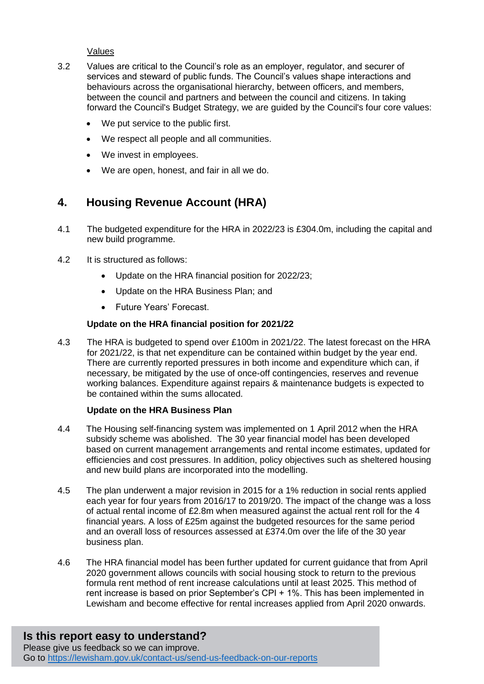### Values

- 3.2 Values are critical to the Council's role as an employer, regulator, and securer of services and steward of public funds. The Council's values shape interactions and behaviours across the organisational hierarchy, between officers, and members, between the council and partners and between the council and citizens. In taking forward the Council's Budget Strategy, we are guided by the Council's four core values:
	- We put service to the public first.
	- We respect all people and all communities.
	- We invest in employees.
	- We are open, honest, and fair in all we do.

# **4. Housing Revenue Account (HRA)**

- 4.1 The budgeted expenditure for the HRA in 2022/23 is £304.0m, including the capital and new build programme.
- 4.2 It is structured as follows:
	- Update on the HRA financial position for 2022/23;
	- Update on the HRA Business Plan: and
	- Future Years' Forecast.

## **Update on the HRA financial position for 2021/22**

4.3 The HRA is budgeted to spend over £100m in 2021/22. The latest forecast on the HRA for 2021/22, is that net expenditure can be contained within budget by the year end. There are currently reported pressures in both income and expenditure which can, if necessary, be mitigated by the use of once-off contingencies, reserves and revenue working balances. Expenditure against repairs & maintenance budgets is expected to be contained within the sums allocated.

#### **Update on the HRA Business Plan**

- 4.4 The Housing self-financing system was implemented on 1 April 2012 when the HRA subsidy scheme was abolished. The 30 year financial model has been developed based on current management arrangements and rental income estimates, updated for efficiencies and cost pressures. In addition, policy objectives such as sheltered housing and new build plans are incorporated into the modelling.
- 4.5 The plan underwent a major revision in 2015 for a 1% reduction in social rents applied each year for four years from 2016/17 to 2019/20. The impact of the change was a loss of actual rental income of £2.8m when measured against the actual rent roll for the 4 financial years. A loss of £25m against the budgeted resources for the same period and an overall loss of resources assessed at £374.0m over the life of the 30 year business plan.
- 4.6 The HRA financial model has been further updated for current guidance that from April 2020 government allows councils with social housing stock to return to the previous formula rent method of rent increase calculations until at least 2025. This method of rent increase is based on prior September's CPI + 1%. This has been implemented in Lewisham and become effective for rental increases applied from April 2020 onwards.

# **Is this report easy to understand?**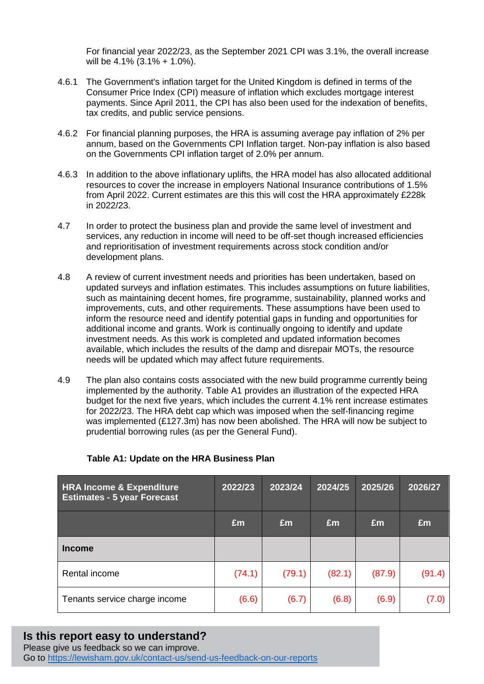For financial year 2022/23, as the September 2021 CPI was 3.1%, the overall increase will be 4.1% (3.1% + 1.0%).

- 4.6.1 The Government's inflation target for the United Kingdom is defined in terms of the Consumer Price Index (CPI) measure of inflation which excludes mortgage interest payments. Since April 2011, the CPI has also been used for the indexation of benefits, tax credits, and public service pensions.
- 4.6.2 For financial planning purposes, the HRA is assuming average pay inflation of 2% per annum, based on the Governments CPI Inflation target. Non-pay inflation is also based on the Governments CPI inflation target of 2.0% per annum.
- 4.6.3 In addition to the above inflationary uplifts, the HRA model has also allocated additional resources to cover the increase in employers National Insurance contributions of 1.5% from April 2022. Current estimates are this this will cost the HRA approximately £228k in 2022/23.
- 4.7 In order to protect the business plan and provide the same level of investment and services, any reduction in income will need to be off-set though increased efficiencies and reprioritisation of investment requirements across stock condition and/or development plans.
- 4.8 A review of current investment needs and priorities has been undertaken, based on updated surveys and inflation estimates. This includes assumptions on future liabilities, such as maintaining decent homes, fire programme, sustainability, planned works and improvements, cuts, and other requirements. These assumptions have been used to inform the resource need and identify potential gaps in funding and opportunities for additional income and grants. Work is continually ongoing to identify and update investment needs. As this work is completed and updated information becomes available, which includes the results of the damp and disrepair MOTs, the resource needs will be updated which may affect future requirements.
- 4.9 The plan also contains costs associated with the new build programme currently being implemented by the authority. Table A1 provides an illustration of the expected HRA budget for the next five years, which includes the current 4.1% rent increase estimates for 2022/23. The HRA debt cap which was imposed when the self-financing regime was implemented (£127.3m) has now been abolished. The HRA will now be subject to prudential borrowing rules (as per the General Fund).

| <b>HRA Income &amp; Expenditure</b><br><b>Estimates - 5 year Forecast</b> | 2022/23 | 2023/24 | 2024/25 | 2025/26 | 2026/27 |
|---------------------------------------------------------------------------|---------|---------|---------|---------|---------|
|                                                                           | £m      | Em      | £m      | £m      | Em      |
| <b>Income</b>                                                             |         |         |         |         |         |
| Rental income                                                             | (74.1)  | (79.1)  | (82.1)  | (87.9)  | (91.4)  |
| Tenants service charge income                                             | (6.6)   | (6.7)   | (6.8)   | (6.9)   | (7.0)   |

## **Table A1: Update on the HRA Business Plan**

# **Is this report easy to understand?**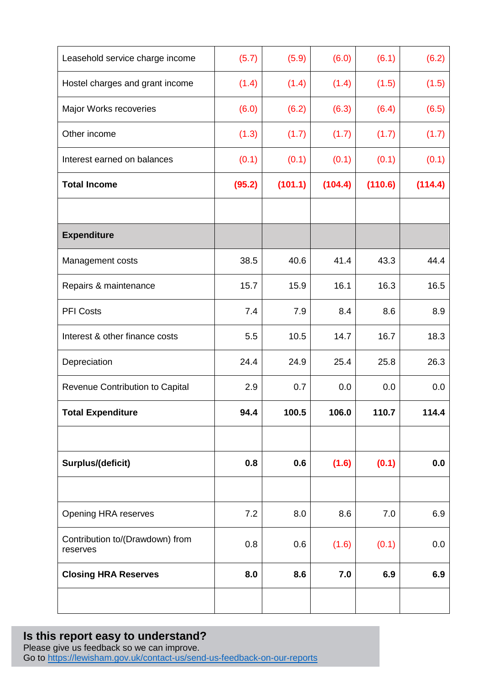| Leasehold service charge income             | (5.7)  | (5.9)   | (6.0)   | (6.1)   | (6.2)   |
|---------------------------------------------|--------|---------|---------|---------|---------|
| Hostel charges and grant income             | (1.4)  | (1.4)   | (1.4)   | (1.5)   | (1.5)   |
| Major Works recoveries                      | (6.0)  | (6.2)   | (6.3)   | (6.4)   | (6.5)   |
| Other income                                | (1.3)  | (1.7)   | (1.7)   | (1.7)   | (1.7)   |
| Interest earned on balances                 | (0.1)  | (0.1)   | (0.1)   | (0.1)   | (0.1)   |
| <b>Total Income</b>                         | (95.2) | (101.1) | (104.4) | (110.6) | (114.4) |
|                                             |        |         |         |         |         |
| <b>Expenditure</b>                          |        |         |         |         |         |
| Management costs                            | 38.5   | 40.6    | 41.4    | 43.3    | 44.4    |
| Repairs & maintenance                       | 15.7   | 15.9    | 16.1    | 16.3    | 16.5    |
| <b>PFI Costs</b>                            | 7.4    | 7.9     | 8.4     | 8.6     | 8.9     |
| Interest & other finance costs              | 5.5    | 10.5    | 14.7    | 16.7    | 18.3    |
| Depreciation                                | 24.4   | 24.9    | 25.4    | 25.8    | 26.3    |
| Revenue Contribution to Capital             | 2.9    | 0.7     | 0.0     | 0.0     | 0.0     |
| <b>Total Expenditure</b>                    | 94.4   | 100.5   | 106.0   | 110.7   | 114.4   |
|                                             |        |         |         |         |         |
| Surplus/(deficit)                           | 0.8    | 0.6     | (1.6)   | (0.1)   | 0.0     |
|                                             |        |         |         |         |         |
| Opening HRA reserves                        | 7.2    | 8.0     | 8.6     | 7.0     | 6.9     |
| Contribution to/(Drawdown) from<br>reserves | 0.8    | 0.6     | (1.6)   | (0.1)   | 0.0     |
| <b>Closing HRA Reserves</b>                 | 8.0    | 8.6     | 7.0     | 6.9     | 6.9     |
|                                             |        |         |         |         |         |

## **Is this report easy to understand?** Please give us feedback so we can improve. Go to<https://lewisham.gov.uk/contact-us/send-us-feedback-on-our-reports>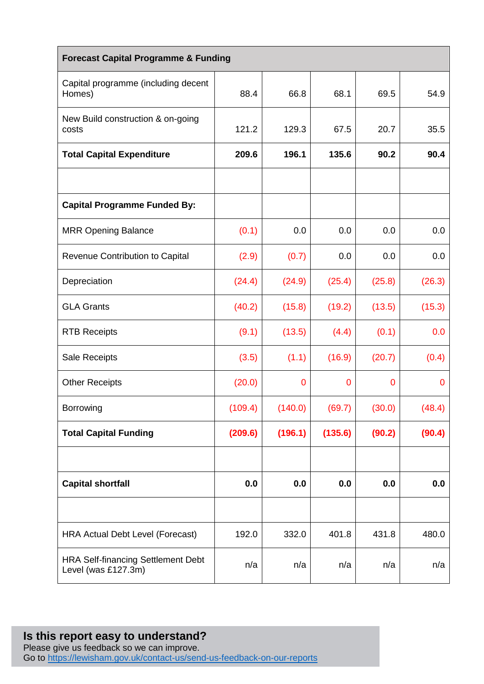| <b>Forecast Capital Programme &amp; Funding</b>                  |         |                |                |             |             |  |
|------------------------------------------------------------------|---------|----------------|----------------|-------------|-------------|--|
| Capital programme (including decent<br>Homes)                    | 88.4    | 66.8           | 68.1           | 69.5        | 54.9        |  |
| New Build construction & on-going<br>costs                       | 121.2   | 129.3          | 67.5           | 20.7        | 35.5        |  |
| <b>Total Capital Expenditure</b>                                 | 209.6   | 196.1          | 135.6          | 90.2        | 90.4        |  |
|                                                                  |         |                |                |             |             |  |
| <b>Capital Programme Funded By:</b>                              |         |                |                |             |             |  |
| <b>MRR Opening Balance</b>                                       | (0.1)   | 0.0            | 0.0            | 0.0         | 0.0         |  |
| Revenue Contribution to Capital                                  | (2.9)   | (0.7)          | 0.0            | 0.0         | 0.0         |  |
| Depreciation                                                     | (24.4)  | (24.9)         | (25.4)         | (25.8)      | (26.3)      |  |
| <b>GLA Grants</b>                                                | (40.2)  | (15.8)         | (19.2)         | (13.5)      | (15.3)      |  |
| <b>RTB Receipts</b>                                              | (9.1)   | (13.5)         | (4.4)          | (0.1)       | 0.0         |  |
| Sale Receipts                                                    | (3.5)   | (1.1)          | (16.9)         | (20.7)      | (0.4)       |  |
| <b>Other Receipts</b>                                            | (20.0)  | $\overline{0}$ | $\overline{0}$ | $\mathbf 0$ | $\mathbf 0$ |  |
| Borrowing                                                        | (109.4) | (140.0)        | (69.7)         | (30.0)      | (48.4)      |  |
| <b>Total Capital Funding</b>                                     | (209.6) | (196.1)        | (135.6)        | (90.2)      | (90.4)      |  |
|                                                                  |         |                |                |             |             |  |
| <b>Capital shortfall</b>                                         | 0.0     | 0.0            | 0.0            | 0.0         | 0.0         |  |
|                                                                  |         |                |                |             |             |  |
| <b>HRA Actual Debt Level (Forecast)</b>                          | 192.0   | 332.0          | 401.8          | 431.8       | 480.0       |  |
| <b>HRA Self-financing Settlement Debt</b><br>Level (was £127.3m) | n/a     | n/a            | n/a            | n/a         | n/a         |  |

## **Is this report easy to understand?** Please give us feedback so we can improve. Go to<https://lewisham.gov.uk/contact-us/send-us-feedback-on-our-reports>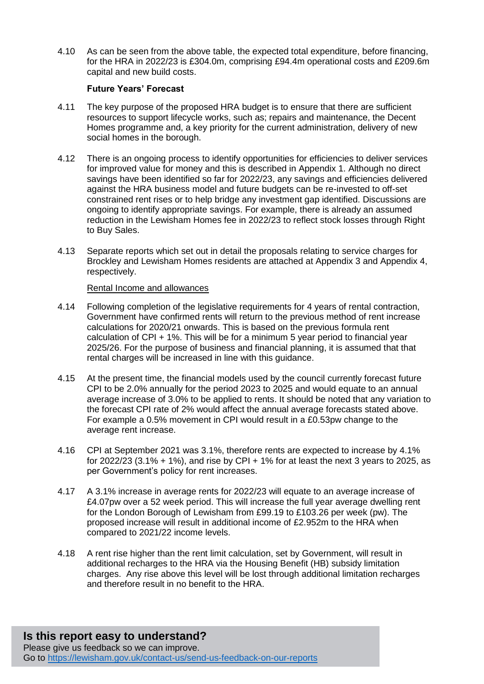4.10 As can be seen from the above table, the expected total expenditure, before financing, for the HRA in 2022/23 is £304.0m, comprising £94.4m operational costs and £209.6m capital and new build costs.

### **Future Years' Forecast**

- 4.11 The key purpose of the proposed HRA budget is to ensure that there are sufficient resources to support lifecycle works, such as; repairs and maintenance, the Decent Homes programme and, a key priority for the current administration, delivery of new social homes in the borough.
- 4.12 There is an ongoing process to identify opportunities for efficiencies to deliver services for improved value for money and this is described in Appendix 1. Although no direct savings have been identified so far for 2022/23, any savings and efficiencies delivered against the HRA business model and future budgets can be re-invested to off-set constrained rent rises or to help bridge any investment gap identified. Discussions are ongoing to identify appropriate savings. For example, there is already an assumed reduction in the Lewisham Homes fee in 2022/23 to reflect stock losses through Right to Buy Sales.
- 4.13 Separate reports which set out in detail the proposals relating to service charges for Brockley and Lewisham Homes residents are attached at Appendix 3 and Appendix 4, respectively.

#### Rental Income and allowances

- 4.14 Following completion of the legislative requirements for 4 years of rental contraction, Government have confirmed rents will return to the previous method of rent increase calculations for 2020/21 onwards. This is based on the previous formula rent calculation of CPI + 1%. This will be for a minimum 5 year period to financial year 2025/26. For the purpose of business and financial planning, it is assumed that that rental charges will be increased in line with this guidance.
- 4.15 At the present time, the financial models used by the council currently forecast future CPI to be 2.0% annually for the period 2023 to 2025 and would equate to an annual average increase of 3.0% to be applied to rents. It should be noted that any variation to the forecast CPI rate of 2% would affect the annual average forecasts stated above. For example a 0.5% movement in CPI would result in a £0.53pw change to the average rent increase.
- 4.16 CPI at September 2021 was 3.1%, therefore rents are expected to increase by 4.1% for 2022/23 (3.1% + 1%), and rise by CPI + 1% for at least the next 3 years to 2025, as per Government's policy for rent increases.
- 4.17 A 3.1% increase in average rents for 2022/23 will equate to an average increase of £4.07pw over a 52 week period. This will increase the full year average dwelling rent for the London Borough of Lewisham from £99.19 to £103.26 per week (pw). The proposed increase will result in additional income of £2.952m to the HRA when compared to 2021/22 income levels.
- 4.18 A rent rise higher than the rent limit calculation, set by Government, will result in additional recharges to the HRA via the Housing Benefit (HB) subsidy limitation charges. Any rise above this level will be lost through additional limitation recharges and therefore result in no benefit to the HRA.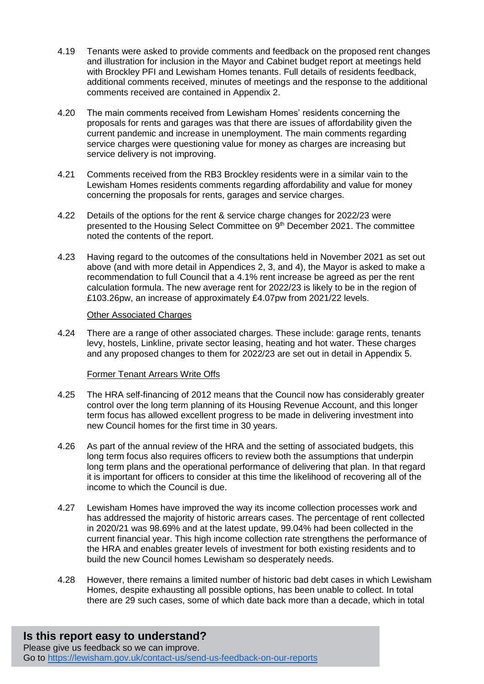- 4.19 Tenants were asked to provide comments and feedback on the proposed rent changes and illustration for inclusion in the Mayor and Cabinet budget report at meetings held with Brockley PFI and Lewisham Homes tenants. Full details of residents feedback, additional comments received, minutes of meetings and the response to the additional comments received are contained in Appendix 2.
- 4.20 The main comments received from Lewisham Homes' residents concerning the proposals for rents and garages was that there are issues of affordability given the current pandemic and increase in unemployment. The main comments regarding service charges were questioning value for money as charges are increasing but service delivery is not improving.
- 4.21 Comments received from the RB3 Brockley residents were in a similar vain to the Lewisham Homes residents comments regarding affordability and value for money concerning the proposals for rents, garages and service charges.
- 4.22 Details of the options for the rent & service charge changes for 2022/23 were presented to the Housing Select Committee on 9<sup>th</sup> December 2021. The committee noted the contents of the report.
- 4.23 Having regard to the outcomes of the consultations held in November 2021 as set out above (and with more detail in Appendices 2, 3, and 4), the Mayor is asked to make a recommendation to full Council that a 4.1% rent increase be agreed as per the rent calculation formula. The new average rent for 2022/23 is likely to be in the region of £103.26pw, an increase of approximately £4.07pw from 2021/22 levels.

#### Other Associated Charges

4.24 There are a range of other associated charges. These include: garage rents, tenants levy, hostels, Linkline, private sector leasing, heating and hot water. These charges and any proposed changes to them for 2022/23 are set out in detail in Appendix 5.

#### Former Tenant Arrears Write Offs

- 4.25 The HRA self-financing of 2012 means that the Council now has considerably greater control over the long term planning of its Housing Revenue Account, and this longer term focus has allowed excellent progress to be made in delivering investment into new Council homes for the first time in 30 years.
- 4.26 As part of the annual review of the HRA and the setting of associated budgets, this long term focus also requires officers to review both the assumptions that underpin long term plans and the operational performance of delivering that plan. In that regard it is important for officers to consider at this time the likelihood of recovering all of the income to which the Council is due.
- 4.27 Lewisham Homes have improved the way its income collection processes work and has addressed the majority of historic arrears cases. The percentage of rent collected in 2020/21 was 98.69% and at the latest update, 99.04% had been collected in the current financial year. This high income collection rate strengthens the performance of the HRA and enables greater levels of investment for both existing residents and to build the new Council homes Lewisham so desperately needs.
- 4.28 However, there remains a limited number of historic bad debt cases in which Lewisham Homes, despite exhausting all possible options, has been unable to collect. In total there are 29 such cases, some of which date back more than a decade, which in total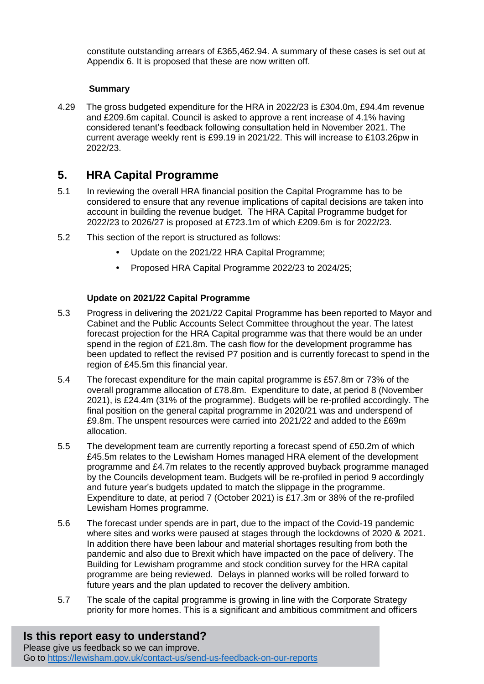constitute outstanding arrears of £365,462.94. A summary of these cases is set out at Appendix 6. It is proposed that these are now written off.

## **Summary**

4.29 The gross budgeted expenditure for the HRA in 2022/23 is £304.0m, £94.4m revenue and £209.6m capital. Council is asked to approve a rent increase of 4.1% having considered tenant's feedback following consultation held in November 2021. The current average weekly rent is £99.19 in 2021/22. This will increase to £103.26pw in 2022/23.

# **5. HRA Capital Programme**

- 5.1 In reviewing the overall HRA financial position the Capital Programme has to be considered to ensure that any revenue implications of capital decisions are taken into account in building the revenue budget. The HRA Capital Programme budget for 2022/23 to 2026/27 is proposed at £723.1m of which £209.6m is for 2022/23.
- 5.2 This section of the report is structured as follows:
	- **•** Update on the 2021/22 HRA Capital Programme;
	- **•** Proposed HRA Capital Programme 2022/23 to 2024/25;

## **Update on 2021/22 Capital Programme**

- 5.3 Progress in delivering the 2021/22 Capital Programme has been reported to Mayor and Cabinet and the Public Accounts Select Committee throughout the year. The latest forecast projection for the HRA Capital programme was that there would be an under spend in the region of £21.8m. The cash flow for the development programme has been updated to reflect the revised P7 position and is currently forecast to spend in the region of £45.5m this financial year.
- 5.4 The forecast expenditure for the main capital programme is £57.8m or 73% of the overall programme allocation of £78.8m. Expenditure to date, at period 8 (November 2021), is £24.4m (31% of the programme). Budgets will be re-profiled accordingly. The final position on the general capital programme in 2020/21 was and underspend of £9.8m. The unspent resources were carried into 2021/22 and added to the £69m allocation.
- 5.5 The development team are currently reporting a forecast spend of £50.2m of which £45.5m relates to the Lewisham Homes managed HRA element of the development programme and £4.7m relates to the recently approved buyback programme managed by the Councils development team. Budgets will be re-profiled in period 9 accordingly and future year's budgets updated to match the slippage in the programme. Expenditure to date, at period 7 (October 2021) is £17.3m or 38% of the re-profiled Lewisham Homes programme.
- 5.6 The forecast under spends are in part, due to the impact of the Covid-19 pandemic where sites and works were paused at stages through the lockdowns of 2020 & 2021. In addition there have been labour and material shortages resulting from both the pandemic and also due to Brexit which have impacted on the pace of delivery. The Building for Lewisham programme and stock condition survey for the HRA capital programme are being reviewed. Delays in planned works will be rolled forward to future years and the plan updated to recover the delivery ambition.
- 5.7 The scale of the capital programme is growing in line with the Corporate Strategy priority for more homes. This is a significant and ambitious commitment and officers

# **Is this report easy to understand?**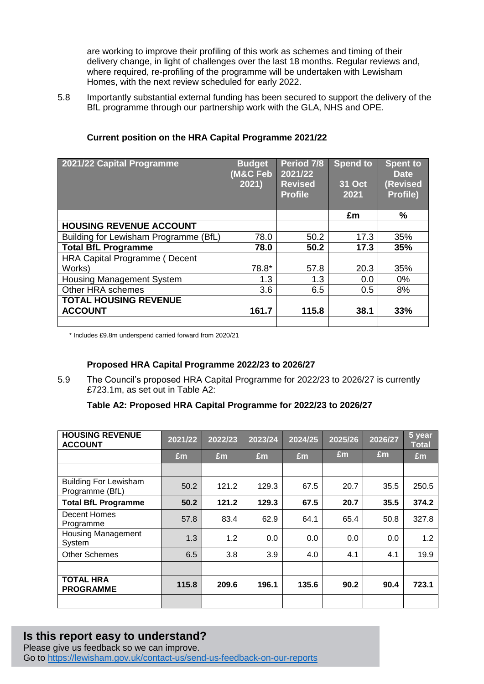are working to improve their profiling of this work as schemes and timing of their delivery change, in light of challenges over the last 18 months. Regular reviews and, where required, re-profiling of the programme will be undertaken with Lewisham Homes, with the next review scheduled for early 2022.

5.8 Importantly substantial external funding has been secured to support the delivery of the BfL programme through our partnership work with the GLA, NHS and OPE.

| 2021/22 Capital Programme                      | <b>Budget</b><br>(M&C Feb<br>2021) | Period 7/8<br>2021/22<br><b>Revised</b><br><b>Profile</b> | Spend to<br><b>31 Oct</b><br>2021 | <b>Spent to</b><br><b>Date</b><br>(Revised<br>Profile) |
|------------------------------------------------|------------------------------------|-----------------------------------------------------------|-----------------------------------|--------------------------------------------------------|
|                                                |                                    |                                                           | £m                                | %                                                      |
| <b>HOUSING REVENUE ACCOUNT</b>                 |                                    |                                                           |                                   |                                                        |
| Building for Lewisham Programme (BfL)          | 78.0                               | 50.2                                                      | 17.3                              | 35%                                                    |
| <b>Total BfL Programme</b>                     | 78.0                               | 50.2                                                      | 17.3                              | 35%                                                    |
| <b>HRA Capital Programme (Decent</b>           |                                    |                                                           |                                   |                                                        |
| Works)                                         | 78.8*                              | 57.8                                                      | 20.3                              | 35%                                                    |
| <b>Housing Management System</b>               | 1.3                                | 1.3                                                       | 0.0                               | $0\%$                                                  |
| Other HRA schemes                              | 3.6                                | 6.5                                                       | 0.5                               | 8%                                                     |
| <b>TOTAL HOUSING REVENUE</b><br><b>ACCOUNT</b> | 161.7                              | 115.8                                                     | 38.1                              | 33%                                                    |

## **Current position on the HRA Capital Programme 2021/22**

\* Includes £9.8m underspend carried forward from 2020/21

## **Proposed HRA Capital Programme 2022/23 to 2026/27**

5.9 The Council's proposed HRA Capital Programme for 2022/23 to 2026/27 is currently £723.1m, as set out in Table A2:

## **Table A2: Proposed HRA Capital Programme for 2022/23 to 2026/27**

| <b>HOUSING REVENUE</b><br><b>ACCOUNT</b>        | 2021/22 | 2022/23 | 2023/24 | 2024/25 | 2025/26 | 2026/27 | 5 year<br><b>Total</b> |
|-------------------------------------------------|---------|---------|---------|---------|---------|---------|------------------------|
|                                                 | £m      | Em      | Em      | Em      | £m      | £m      | Em                     |
|                                                 |         |         |         |         |         |         |                        |
| <b>Building For Lewisham</b><br>Programme (BfL) | 50.2    | 121.2   | 129.3   | 67.5    | 20.7    | 35.5    | 250.5                  |
| <b>Total BfL Programme</b>                      | 50.2    | 121.2   | 129.3   | 67.5    | 20.7    | 35.5    | 374.2                  |
| <b>Decent Homes</b><br>Programme                | 57.8    | 83.4    | 62.9    | 64.1    | 65.4    | 50.8    | 327.8                  |
| <b>Housing Management</b><br>System             | 1.3     | 1.2     | 0.0     | 0.0     | 0.0     | 0.0     | 1.2                    |
| <b>Other Schemes</b>                            | 6.5     | 3.8     | 3.9     | 4.0     | 4.1     | 4.1     | 19.9                   |
|                                                 |         |         |         |         |         |         |                        |
| <b>TOTAL HRA</b><br><b>PROGRAMME</b>            | 115.8   | 209.6   | 196.1   | 135.6   | 90.2    | 90.4    | 723.1                  |
|                                                 |         |         |         |         |         |         |                        |

# **Is this report easy to understand?**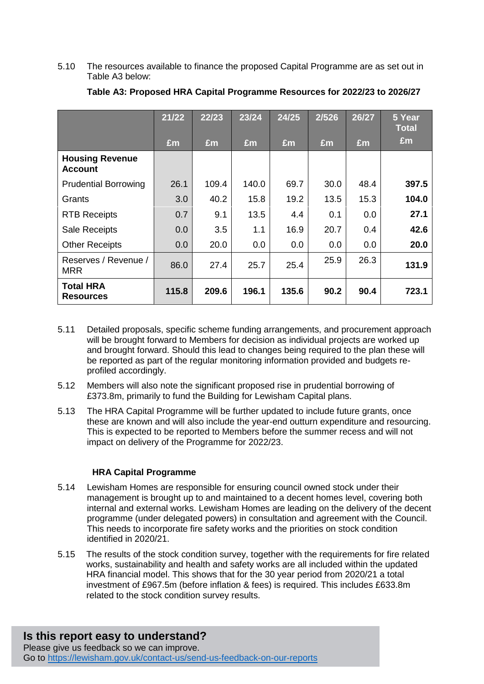5.10 The resources available to finance the proposed Capital Programme are as set out in Table A3 below:

|                                          | 21/22 | 22/23 | 23/24 | 24/25 | 2/526 | 26/27 | 5 Year<br><b>Total</b> |
|------------------------------------------|-------|-------|-------|-------|-------|-------|------------------------|
|                                          | £m    | £m    | £m    | £m    | £m    | £m    | £m                     |
| <b>Housing Revenue</b><br><b>Account</b> |       |       |       |       |       |       |                        |
| <b>Prudential Borrowing</b>              | 26.1  | 109.4 | 140.0 | 69.7  | 30.0  | 48.4  | 397.5                  |
| Grants                                   | 3.0   | 40.2  | 15.8  | 19.2  | 13.5  | 15.3  | 104.0                  |
| <b>RTB Receipts</b>                      | 0.7   | 9.1   | 13.5  | 4.4   | 0.1   | 0.0   | 27.1                   |
| <b>Sale Receipts</b>                     | 0.0   | 3.5   | 1.1   | 16.9  | 20.7  | 0.4   | 42.6                   |
| <b>Other Receipts</b>                    | 0.0   | 20.0  | 0.0   | 0.0   | 0.0   | 0.0   | 20.0                   |
| Reserves / Revenue /<br><b>MRR</b>       | 86.0  | 27.4  | 25.7  | 25.4  | 25.9  | 26.3  | 131.9                  |
| <b>Total HRA</b><br><b>Resources</b>     | 115.8 | 209.6 | 196.1 | 135.6 | 90.2  | 90.4  | 723.1                  |

## **Table A3: Proposed HRA Capital Programme Resources for 2022/23 to 2026/27**

- 5.11 Detailed proposals, specific scheme funding arrangements, and procurement approach will be brought forward to Members for decision as individual projects are worked up and brought forward. Should this lead to changes being required to the plan these will be reported as part of the regular monitoring information provided and budgets reprofiled accordingly.
- 5.12 Members will also note the significant proposed rise in prudential borrowing of £373.8m, primarily to fund the Building for Lewisham Capital plans.
- 5.13 The HRA Capital Programme will be further updated to include future grants, once these are known and will also include the year-end outturn expenditure and resourcing. This is expected to be reported to Members before the summer recess and will not impact on delivery of the Programme for 2022/23.

#### **HRA Capital Programme**

- 5.14 Lewisham Homes are responsible for ensuring council owned stock under their management is brought up to and maintained to a decent homes level, covering both internal and external works. Lewisham Homes are leading on the delivery of the decent programme (under delegated powers) in consultation and agreement with the Council. This needs to incorporate fire safety works and the priorities on stock condition identified in 2020/21.
- 5.15 The results of the stock condition survey, together with the requirements for fire related works, sustainability and health and safety works are all included within the updated HRA financial model. This shows that for the 30 year period from 2020/21 a total investment of £967.5m (before inflation & fees) is required. This includes £633.8m related to the stock condition survey results.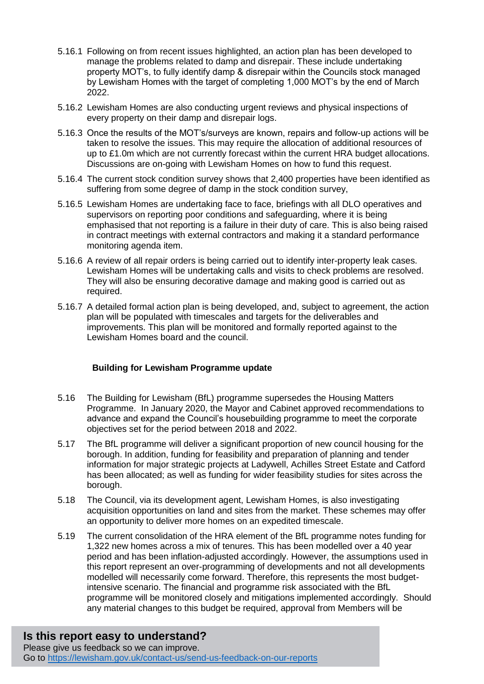- 5.16.1 Following on from recent issues highlighted, an action plan has been developed to manage the problems related to damp and disrepair. These include undertaking property MOT's, to fully identify damp & disrepair within the Councils stock managed by Lewisham Homes with the target of completing 1,000 MOT's by the end of March 2022.
- 5.16.2 Lewisham Homes are also conducting urgent reviews and physical inspections of every property on their damp and disrepair logs.
- 5.16.3 Once the results of the MOT's/surveys are known, repairs and follow-up actions will be taken to resolve the issues. This may require the allocation of additional resources of up to £1.0m which are not currently forecast within the current HRA budget allocations. Discussions are on-going with Lewisham Homes on how to fund this request.
- 5.16.4 The current stock condition survey shows that 2,400 properties have been identified as suffering from some degree of damp in the stock condition survey,
- 5.16.5 Lewisham Homes are undertaking face to face, briefings with all DLO operatives and supervisors on reporting poor conditions and safeguarding, where it is being emphasised that not reporting is a failure in their duty of care. This is also being raised in contract meetings with external contractors and making it a standard performance monitoring agenda item.
- 5.16.6 A review of all repair orders is being carried out to identify inter-property leak cases. Lewisham Homes will be undertaking calls and visits to check problems are resolved. They will also be ensuring decorative damage and making good is carried out as required.
- 5.16.7 A detailed formal action plan is being developed, and, subject to agreement, the action plan will be populated with timescales and targets for the deliverables and improvements. This plan will be monitored and formally reported against to the Lewisham Homes board and the council.

## **Building for Lewisham Programme update**

- 5.16 The Building for Lewisham (BfL) programme supersedes the Housing Matters Programme. In January 2020, the Mayor and Cabinet approved recommendations to advance and expand the Council's housebuilding programme to meet the corporate objectives set for the period between 2018 and 2022.
- 5.17 The BfL programme will deliver a significant proportion of new council housing for the borough. In addition, funding for feasibility and preparation of planning and tender information for major strategic projects at Ladywell, Achilles Street Estate and Catford has been allocated; as well as funding for wider feasibility studies for sites across the borough.
- 5.18 The Council, via its development agent, Lewisham Homes, is also investigating acquisition opportunities on land and sites from the market. These schemes may offer an opportunity to deliver more homes on an expedited timescale.
- 5.19 The current consolidation of the HRA element of the BfL programme notes funding for 1,322 new homes across a mix of tenures. This has been modelled over a 40 year period and has been inflation-adjusted accordingly. However, the assumptions used in this report represent an over-programming of developments and not all developments modelled will necessarily come forward. Therefore, this represents the most budgetintensive scenario. The financial and programme risk associated with the BfL programme will be monitored closely and mitigations implemented accordingly. Should any material changes to this budget be required, approval from Members will be

# **Is this report easy to understand?**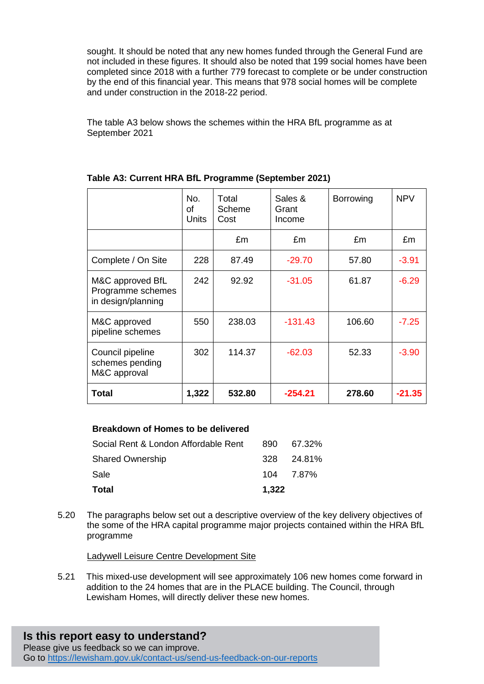sought. It should be noted that any new homes funded through the General Fund are not included in these figures. It should also be noted that 199 social homes have been completed since 2018 with a further 779 forecast to complete or be under construction by the end of this financial year. This means that 978 social homes will be complete and under construction in the 2018-22 period.

The table A3 below shows the schemes within the HRA BfL programme as at September 2021

|                                                             | No.<br>0f<br>Units | Total<br>Scheme<br>Cost | Sales &<br>Grant<br>Income | Borrowing | <b>NPV</b> |
|-------------------------------------------------------------|--------------------|-------------------------|----------------------------|-----------|------------|
|                                                             |                    | £m                      | £m                         | £m        | £m         |
| Complete / On Site                                          | 228                | 87.49                   | $-29.70$                   | 57.80     | $-3.91$    |
| M&C approved BfL<br>Programme schemes<br>in design/planning | 242                | 92.92                   | $-31.05$                   | 61.87     | $-6.29$    |
| M&C approved<br>pipeline schemes                            | 550                | 238.03                  | $-131.43$                  | 106.60    | $-7.25$    |
| Council pipeline<br>schemes pending<br>M&C approval         | 302                | 114.37                  | $-62.03$                   | 52.33     | $-3.90$    |
| Total                                                       | 1,322              | 532.80                  | -254.21                    | 278.60    | $-21.35$   |

#### **Table A3: Current HRA BfL Programme (September 2021)**

#### **Breakdown of Homes to be delivered**

| <b>Total</b>                         | 1,322 |            |
|--------------------------------------|-------|------------|
| Sale                                 |       | 104 7.87%  |
| <b>Shared Ownership</b>              |       | 328 24.81% |
| Social Rent & London Affordable Rent | 890   | 67.32%     |

5.20 The paragraphs below set out a descriptive overview of the key delivery objectives of the some of the HRA capital programme major projects contained within the HRA BfL programme

Ladywell Leisure Centre Development Site

5.21 This mixed-use development will see approximately 106 new homes come forward in addition to the 24 homes that are in the PLACE building. The Council, through Lewisham Homes, will directly deliver these new homes.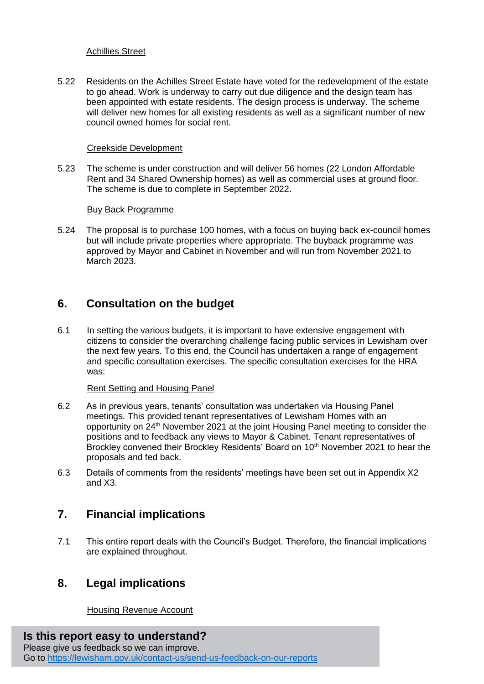#### Achillies Street

5.22 Residents on the Achilles Street Estate have voted for the redevelopment of the estate to go ahead. Work is underway to carry out due diligence and the design team has been appointed with estate residents. The design process is underway. The scheme will deliver new homes for all existing residents as well as a significant number of new council owned homes for social rent.

#### Creekside Development

5.23 The scheme is under construction and will deliver 56 homes (22 London Affordable Rent and 34 Shared Ownership homes) as well as commercial uses at ground floor. The scheme is due to complete in September 2022.

#### Buy Back Programme

5.24 The proposal is to purchase 100 homes, with a focus on buying back ex-council homes but will include private properties where appropriate. The buyback programme was approved by Mayor and Cabinet in November and will run from November 2021 to March 2023.

## **6. Consultation on the budget**

6.1 In setting the various budgets, it is important to have extensive engagement with citizens to consider the overarching challenge facing public services in Lewisham over the next few years. To this end, the Council has undertaken a range of engagement and specific consultation exercises. The specific consultation exercises for the HRA was:

#### Rent Setting and Housing Panel

- 6.2 As in previous years, tenants' consultation was undertaken via Housing Panel meetings. This provided tenant representatives of Lewisham Homes with an opportunity on 24th November 2021 at the joint Housing Panel meeting to consider the positions and to feedback any views to Mayor & Cabinet. Tenant representatives of Brockley convened their Brockley Residents' Board on 10<sup>th</sup> November 2021 to hear the proposals and fed back.
- 6.3 Details of comments from the residents' meetings have been set out in Appendix X2 and X3.

## **7. Financial implications**

7.1 This entire report deals with the Council's Budget. Therefore, the financial implications are explained throughout.

## **8. Legal implications**

Housing Revenue Account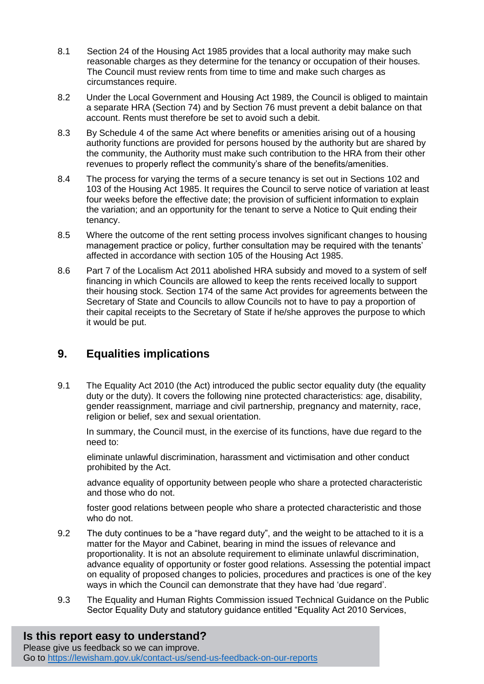- 8.1 Section 24 of the Housing Act 1985 provides that a local authority may make such reasonable charges as they determine for the tenancy or occupation of their houses. The Council must review rents from time to time and make such charges as circumstances require.
- 8.2 Under the Local Government and Housing Act 1989, the Council is obliged to maintain a separate HRA (Section 74) and by Section 76 must prevent a debit balance on that account. Rents must therefore be set to avoid such a debit.
- 8.3 By Schedule 4 of the same Act where benefits or amenities arising out of a housing authority functions are provided for persons housed by the authority but are shared by the community, the Authority must make such contribution to the HRA from their other revenues to properly reflect the community's share of the benefits/amenities.
- 8.4 The process for varying the terms of a secure tenancy is set out in Sections 102 and 103 of the Housing Act 1985. It requires the Council to serve notice of variation at least four weeks before the effective date; the provision of sufficient information to explain the variation; and an opportunity for the tenant to serve a Notice to Quit ending their tenancy.
- 8.5 Where the outcome of the rent setting process involves significant changes to housing management practice or policy, further consultation may be required with the tenants' affected in accordance with section 105 of the Housing Act 1985.
- 8.6 Part 7 of the Localism Act 2011 abolished HRA subsidy and moved to a system of self financing in which Councils are allowed to keep the rents received locally to support their housing stock. Section 174 of the same Act provides for agreements between the Secretary of State and Councils to allow Councils not to have to pay a proportion of their capital receipts to the Secretary of State if he/she approves the purpose to which it would be put.

# **9. Equalities implications**

9.1 The Equality Act 2010 (the Act) introduced the public sector equality duty (the equality duty or the duty). It covers the following nine protected characteristics: age, disability, gender reassignment, marriage and civil partnership, pregnancy and maternity, race, religion or belief, sex and sexual orientation.

In summary, the Council must, in the exercise of its functions, have due regard to the need to:

eliminate unlawful discrimination, harassment and victimisation and other conduct prohibited by the Act.

advance equality of opportunity between people who share a protected characteristic and those who do not.

foster good relations between people who share a protected characteristic and those who do not.

- 9.2 The duty continues to be a "have regard duty", and the weight to be attached to it is a matter for the Mayor and Cabinet, bearing in mind the issues of relevance and proportionality. It is not an absolute requirement to eliminate unlawful discrimination, advance equality of opportunity or foster good relations. Assessing the potential impact on equality of proposed changes to policies, procedures and practices is one of the key ways in which the Council can demonstrate that they have had 'due regard'.
- 9.3 The Equality and Human Rights Commission issued Technical Guidance on the Public Sector Equality Duty and statutory guidance entitled "Equality Act 2010 Services,

# **Is this report easy to understand?**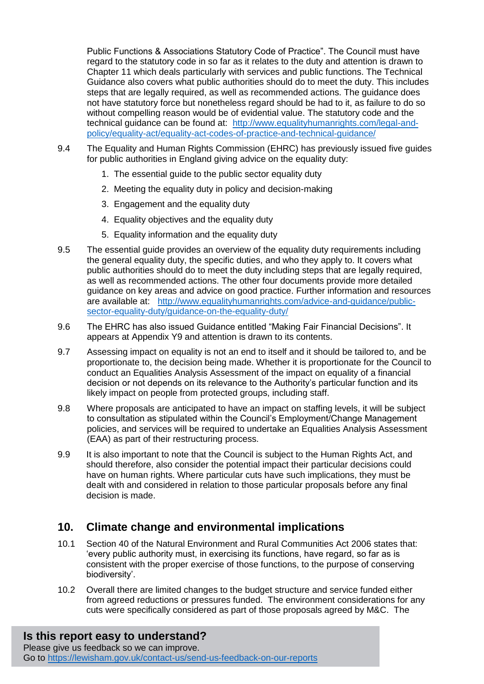Public Functions & Associations Statutory Code of Practice". The Council must have regard to the statutory code in so far as it relates to the duty and attention is drawn to Chapter 11 which deals particularly with services and public functions. The Technical Guidance also covers what public authorities should do to meet the duty. This includes steps that are legally required, as well as recommended actions. The guidance does not have statutory force but nonetheless regard should be had to it, as failure to do so without compelling reason would be of evidential value. The statutory code and the technical guidance can be found at: [http://www.equalityhumanrights.com/legal-and](http://www.equalityhumanrights.com/legal-and-policy/equality-act/equality-act-codes-of-practice-and-technical-guidance/)[policy/equality-act/equality-act-codes-of-practice-and-technical-guidance/](http://www.equalityhumanrights.com/legal-and-policy/equality-act/equality-act-codes-of-practice-and-technical-guidance/)

- 9.4 The Equality and Human Rights Commission (EHRC) has previously issued five guides for public authorities in England giving advice on the equality duty:
	- 1. The essential guide to the public sector equality duty
	- 2. Meeting the equality duty in policy and decision-making
	- 3. Engagement and the equality duty
	- 4. Equality objectives and the equality duty
	- 5. Equality information and the equality duty
- 9.5 The essential guide provides an overview of the equality duty requirements including the general equality duty, the specific duties, and who they apply to. It covers what public authorities should do to meet the duty including steps that are legally required, as well as recommended actions. The other four documents provide more detailed guidance on key areas and advice on good practice. Further information and resources are available at: [http://www.equalityhumanrights.com/advice-and-guidance/public](http://www.equalityhumanrights.com/advice-and-guidance/public-sector-equality-duty/guidance-on-the-equality-duty/)[sector-equality-duty/guidance-on-the-equality-duty/](http://www.equalityhumanrights.com/advice-and-guidance/public-sector-equality-duty/guidance-on-the-equality-duty/)
- 9.6 The EHRC has also issued Guidance entitled "Making Fair Financial Decisions". It appears at Appendix Y9 and attention is drawn to its contents.
- 9.7 Assessing impact on equality is not an end to itself and it should be tailored to, and be proportionate to, the decision being made. Whether it is proportionate for the Council to conduct an Equalities Analysis Assessment of the impact on equality of a financial decision or not depends on its relevance to the Authority's particular function and its likely impact on people from protected groups, including staff.
- 9.8 Where proposals are anticipated to have an impact on staffing levels, it will be subject to consultation as stipulated within the Council's Employment/Change Management policies, and services will be required to undertake an Equalities Analysis Assessment (EAA) as part of their restructuring process.
- 9.9 It is also important to note that the Council is subject to the Human Rights Act, and should therefore, also consider the potential impact their particular decisions could have on human rights. Where particular cuts have such implications, they must be dealt with and considered in relation to those particular proposals before any final decision is made.

# **10. Climate change and environmental implications**

- 10.1 Section 40 of the Natural Environment and Rural Communities Act 2006 states that: 'every public authority must, in exercising its functions, have regard, so far as is consistent with the proper exercise of those functions, to the purpose of conserving biodiversity'.
- 10.2 Overall there are limited changes to the budget structure and service funded either from agreed reductions or pressures funded. The environment considerations for any cuts were specifically considered as part of those proposals agreed by M&C. The

#### **Is this report easy to understand?** Please give us feedback so we can improve.

Go to<https://lewisham.gov.uk/contact-us/send-us-feedback-on-our-reports>